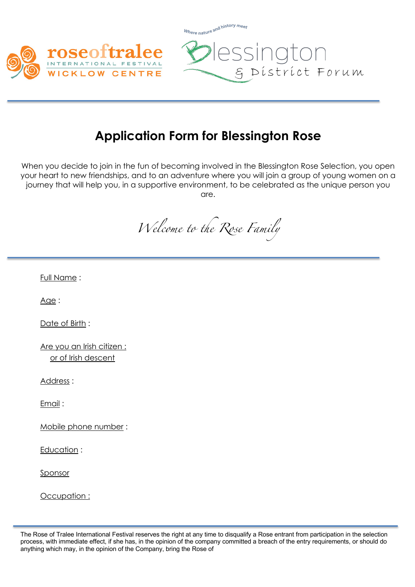



& District Forum

essington

## **Application Form for Blessington Rose**

Where nature and history meet

When you decide to join in the fun of becoming involved in the Blessington Rose Selection, you open your heart to new friendships, and to an adventure where you will join a group of young women on a journey that will help you, in a supportive environment, to be celebrated as the unique person you are.

*Welcome to the Rose Family*

Full Name :

Age:

Date of Birth :

Are you an Irish citizen : or of Irish descent

Address :

Email :

Mobile phone number :

Education :

Sponsor

Occupation :

The Rose of Tralee International Festival reserves the right at any time to disqualify a Rose entrant from participation in the selection process, with immediate effect, if she has, in the opinion of the company committed a breach of the entry requirements, or should do anything which may, in the opinion of the Company, bring the Rose of